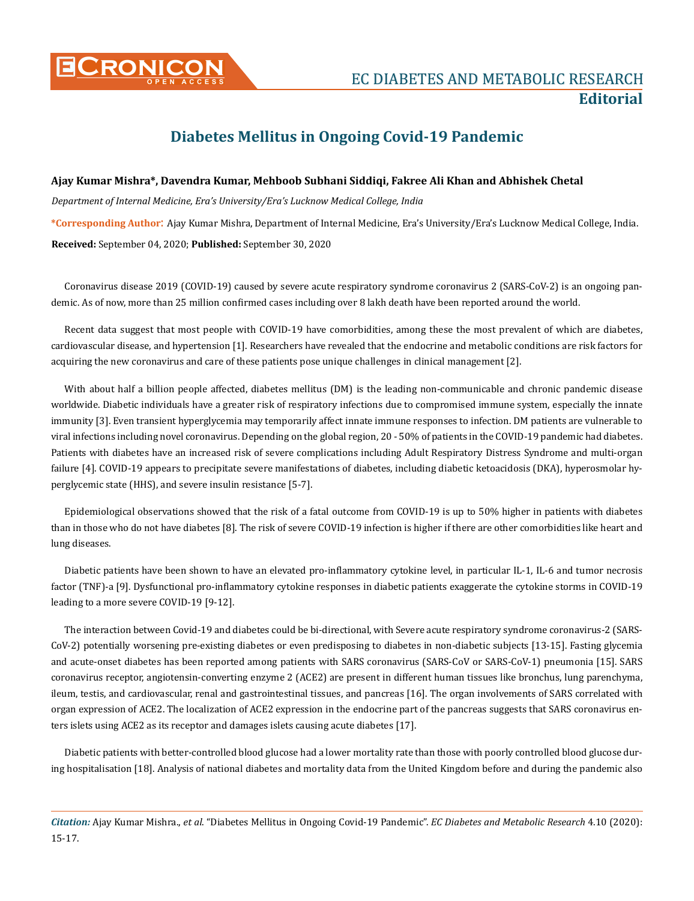

**Editorial**

## **Diabetes Mellitus in Ongoing Covid-19 Pandemic**

**Ajay Kumar Mishra\*, Davendra Kumar, Mehboob Subhani Siddiqi, Fakree Ali Khan and Abhishek Chetal** *Department of Internal Medicine, Era's University/Era's Lucknow Medical College, India*  **\*Corresponding Author**: Ajay Kumar Mishra, Department of Internal Medicine, Era's University/Era's Lucknow Medical College, India. **Received:** September 04, 2020; **Published:** September 30, 2020

Coronavirus disease 2019 (COVID-19) caused by severe acute respiratory syndrome coronavirus 2 (SARS-CoV-2) is an ongoing pandemic. As of now, more than 25 million confirmed cases including over 8 lakh death have been reported around the world.

Recent data suggest that most people with COVID-19 have comorbidities, among these the most prevalent of which are diabetes, cardiovascular disease, and hypertension [1]. Researchers have revealed that the endocrine and metabolic conditions are risk factors for acquiring the new coronavirus and care of these patients pose unique challenges in clinical management [2].

With about half a billion people affected, diabetes mellitus (DM) is the leading non-communicable and chronic pandemic disease worldwide. Diabetic individuals have a greater risk of respiratory infections due to compromised immune system, especially the innate immunity [3]. Even transient hyperglycemia may temporarily affect innate immune responses to infection. DM patients are vulnerable to viral infections including novel coronavirus. Depending on the global region, 20 - 50% of patients in the COVID-19 pandemic had diabetes. Patients with diabetes have an increased risk of severe complications including Adult Respiratory Distress Syndrome and multi-organ failure [4]. COVID-19 appears to precipitate severe manifestations of diabetes, including diabetic ketoacidosis (DKA), hyperosmolar hyperglycemic state (HHS), and severe insulin resistance [5-7].

Epidemiological observations showed that the risk of a fatal outcome from COVID-19 is up to 50% higher in patients with diabetes than in those who do not have diabetes [8]. The risk of severe COVID-19 infection is higher if there are other comorbidities like heart and lung diseases.

Diabetic patients have been shown to have an elevated pro-inflammatory cytokine level, in particular IL-1, IL-6 and tumor necrosis factor (TNF)-a [9]. Dysfunctional pro-inflammatory cytokine responses in diabetic patients exaggerate the cytokine storms in COVID-19 leading to a more severe COVID-19 [9-12].

The interaction between Covid-19 and diabetes could be bi-directional, with Severe acute respiratory syndrome coronavirus-2 (SARS-CoV-2) potentially worsening pre-existing diabetes or even predisposing to diabetes in non-diabetic subjects [13-15]. Fasting glycemia and acute-onset diabetes has been reported among patients with SARS coronavirus (SARS-CoV or SARS-CoV-1) pneumonia [15]. SARS coronavirus receptor, angiotensin-converting enzyme 2 (ACE2) are present in different human tissues like bronchus, lung parenchyma, ileum, testis, and cardiovascular, renal and gastrointestinal tissues, and pancreas [16]. The organ involvements of SARS correlated with organ expression of ACE2. The localization of ACE2 expression in the endocrine part of the pancreas suggests that SARS coronavirus enters islets using ACE2 as its receptor and damages islets causing acute diabetes [17].

Diabetic patients with better-controlled blood glucose had a lower mortality rate than those with poorly controlled blood glucose during hospitalisation [18]. Analysis of national diabetes and mortality data from the United Kingdom before and during the pandemic also

*Citation:* Ajay Kumar Mishra., *et al*. "Diabetes Mellitus in Ongoing Covid-19 Pandemic". *EC Diabetes and Metabolic Research* 4.10 (2020): 15-17.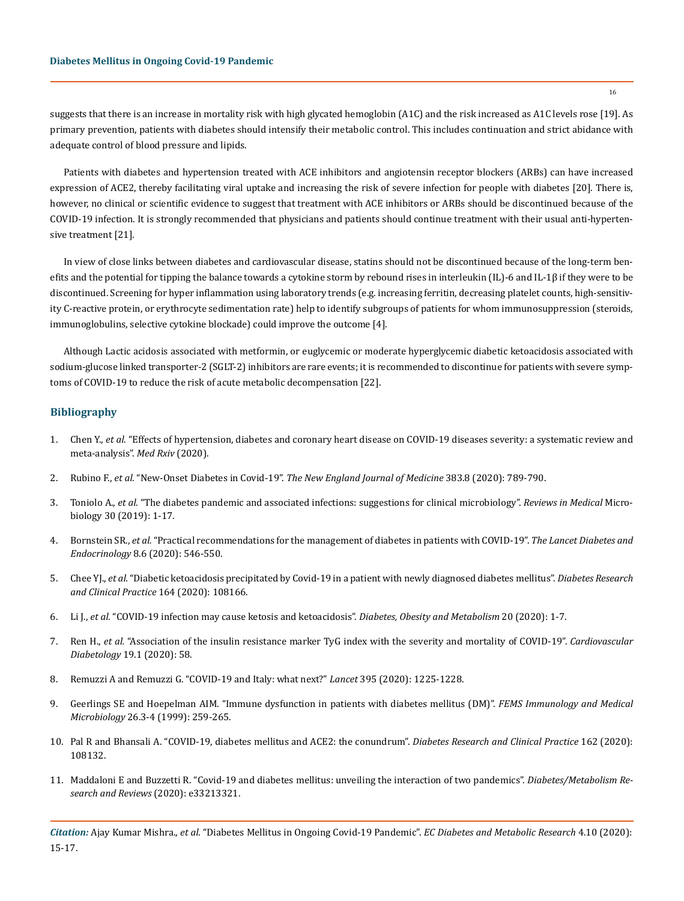suggests that there is an increase in mortality risk with high glycated hemoglobin (A1C) and the risk increased as A1C levels rose [19]. As primary prevention, patients with diabetes should intensify their metabolic control. This includes continuation and strict abidance with adequate control of blood pressure and lipids.

Patients with diabetes and hypertension treated with ACE inhibitors and angiotensin receptor blockers (ARBs) can have increased expression of ACE2, thereby facilitating viral uptake and increasing the risk of severe infection for people with diabetes [20]. There is, however, no clinical or scientific evidence to suggest that treatment with ACE inhibitors or ARBs should be discontinued because of the COVID-19 infection. It is strongly recommended that physicians and patients should continue treatment with their usual anti-hypertensive treatment [21].

In view of close links between diabetes and cardiovascular disease, statins should not be discontinued because of the long-term benefits and the potential for tipping the balance towards a cytokine storm by rebound rises in interleukin (IL)-6 and IL-1β if they were to be discontinued. Screening for hyper inflammation using laboratory trends (e.g. increasing ferritin, decreasing platelet counts, high-sensitivity C-reactive protein, or erythrocyte sedimentation rate) help to identify subgroups of patients for whom immunosuppression (steroids, immunoglobulins, selective cytokine blockade) could improve the outcome [4].

Although Lactic acidosis associated with metformin, or euglycemic or moderate hyperglycemic diabetic ketoacidosis associated with sodium-glucose linked transporter-2 (SGLT-2) inhibitors are rare events; it is recommended to discontinue for patients with severe symptoms of COVID-19 to reduce the risk of acute metabolic decompensation [22].

## **Bibliography**

- 1. Chen Y., *et al.* ["Effects of hypertension, diabetes and coronary heart disease on COVID-19 diseases severity: a systematic review and](https://www.medrxiv.org/content/10.1101/2020.03.25.20043133v1)  [meta-analysis".](https://www.medrxiv.org/content/10.1101/2020.03.25.20043133v1) *Med Rxiv* (2020).
- 2. Rubino F., *et al.* "New-Onset Diabetes in Covid-19". *[The New England Journal of Medicine](https://www.nejm.org/doi/full/10.1056/NEJMc2018688)* 383.8 (2020): 789-790.
- 3. Toniolo A., *et al.* ["The diabetes pandemic and associated infections: suggestions for clinical microbiology".](https://www.ncbi.nlm.nih.gov/pmc/articles/PMC6319590/) *Reviews in Medical* Micro[biology 30 \(2019\): 1-17.](https://www.ncbi.nlm.nih.gov/pmc/articles/PMC6319590/)
- 4. Bornstein SR., *et al.* ["Practical recommendations for the management of diabetes in patients with COVID-19".](https://www.thelancet.com/journals/landia/article/PIIS2213-8587(20)30152-2/fulltext) *The Lancet Diabetes and Endocrinology* [8.6 \(2020\): 546-550.](https://www.thelancet.com/journals/landia/article/PIIS2213-8587(20)30152-2/fulltext)
- 5. Chee YJ., *et al.* ["Diabetic ketoacidosis precipitated by Covid-19 in a patient with newly diagnosed diabetes mellitus".](https://www.ncbi.nlm.nih.gov/pmc/articles/PMC7194589/) *Diabetes Research [and Clinical Practice](https://www.ncbi.nlm.nih.gov/pmc/articles/PMC7194589/)* 164 (2020): 108166.
- 6. Li J., *et al.* ["COVID-19 infection may cause ketosis and ketoacidosis".](https://pubmed.ncbi.nlm.nih.gov/32314455/) *Diabetes, Obesity and Metabolism* 20 (2020): 1-7.
- 7. Ren H., *et al.* ["Association of the insulin resistance marker TyG index with the severity and mortality of COVID-19".](https://cardiab.biomedcentral.com/articles/10.1186/s12933-020-01035-2) *Cardiovascular Diabetology* [19.1 \(2020\): 58.](https://cardiab.biomedcentral.com/articles/10.1186/s12933-020-01035-2)
- 8. [Remuzzi A and Remuzzi G. "COVID-19 and Italy: what next?"](https://www.thelancet.com/article/S0140-6736(20)30627-9/fulltext) *Lancet* 395 (2020): 1225-1228.
- 9. [Geerlings SE and Hoepelman AIM. "Immune dysfunction in patients with diabetes mellitus \(DM\)".](https://academic.oup.com/femspd/article/26/3-4/259/638202) *FEMS Immunology and Medical Microbiology* [26.3-4 \(1999\): 259-265.](https://academic.oup.com/femspd/article/26/3-4/259/638202)
- 10. [Pal R and Bhansali A. "COVID-19, diabetes mellitus and ACE2: the conundrum".](https://www.ncbi.nlm.nih.gov/pmc/articles/PMC7118535/) *Diabetes Research and Clinical Practice* 162 (2020): [108132.](https://www.ncbi.nlm.nih.gov/pmc/articles/PMC7118535/)
- 11. [Maddaloni E and Buzzetti R. "Covid-19 and diabetes mellitus: unveiling the interaction of two pandemics".](https://pubmed.ncbi.nlm.nih.gov/32233018/) *Diabetes/Metabolism Re[search and Reviews](https://pubmed.ncbi.nlm.nih.gov/32233018/)* (2020): e33213321.

*Citation:* Ajay Kumar Mishra., *et al*. "Diabetes Mellitus in Ongoing Covid-19 Pandemic". *EC Diabetes and Metabolic Research* 4.10 (2020): 15-17.

16